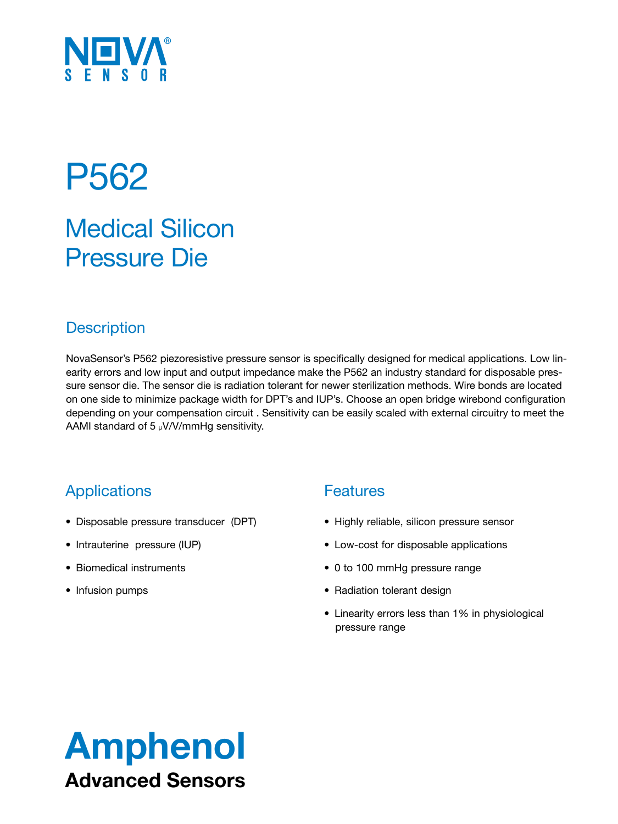

# P562

## Medical Silicon Pressure Die

### **Description**

NovaSensor's P562 piezoresistive pressure sensor is specifically designed for medical applications. Low linearity errors and low input and output impedance make the P562 an industry standard for disposable pressure sensor die. The sensor die is radiation tolerant for newer sterilization methods. Wire bonds are located on one side to minimize package width for DPT's and IUP's. Choose an open bridge wirebond configuration depending on your compensation circuit . Sensitivity can be easily scaled with external circuitry to meet the AAMI standard of 5  $\mu$ V/V/mmHg sensitivity.

## **Applications**

- • Disposable pressure transducer (DPT)
- Intrauterine pressure (IUP)
- • Biomedical instruments
- Infusion pumps

### **Features**

- Highly reliable, silicon pressure sensor
- Low-cost for disposable applications
- 0 to 100 mmHg pressure range
- Radiation tolerant design
- Linearity errors less than 1% in physiological pressure range

# Amphenol Advanced Sensors